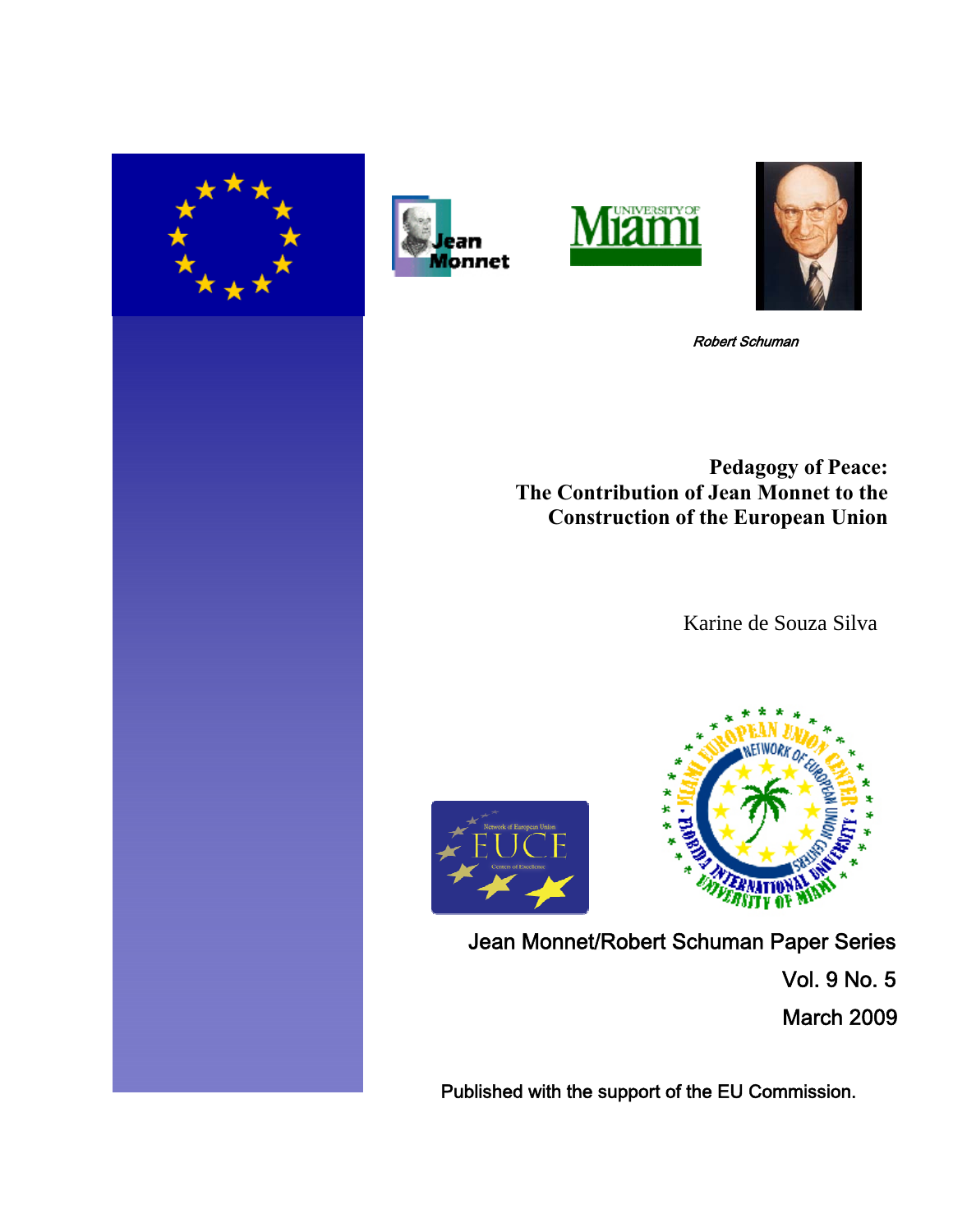







Robert Schuman

**Pedagogy of Peace: The Contribution of Jean Monnet to the Construction of the European Union**

Karine de Souza Silva





Jean Monnet/Robert Schuman Paper Series Vol. 9 No. 5 March 2009

Published with the support of the EU Commission.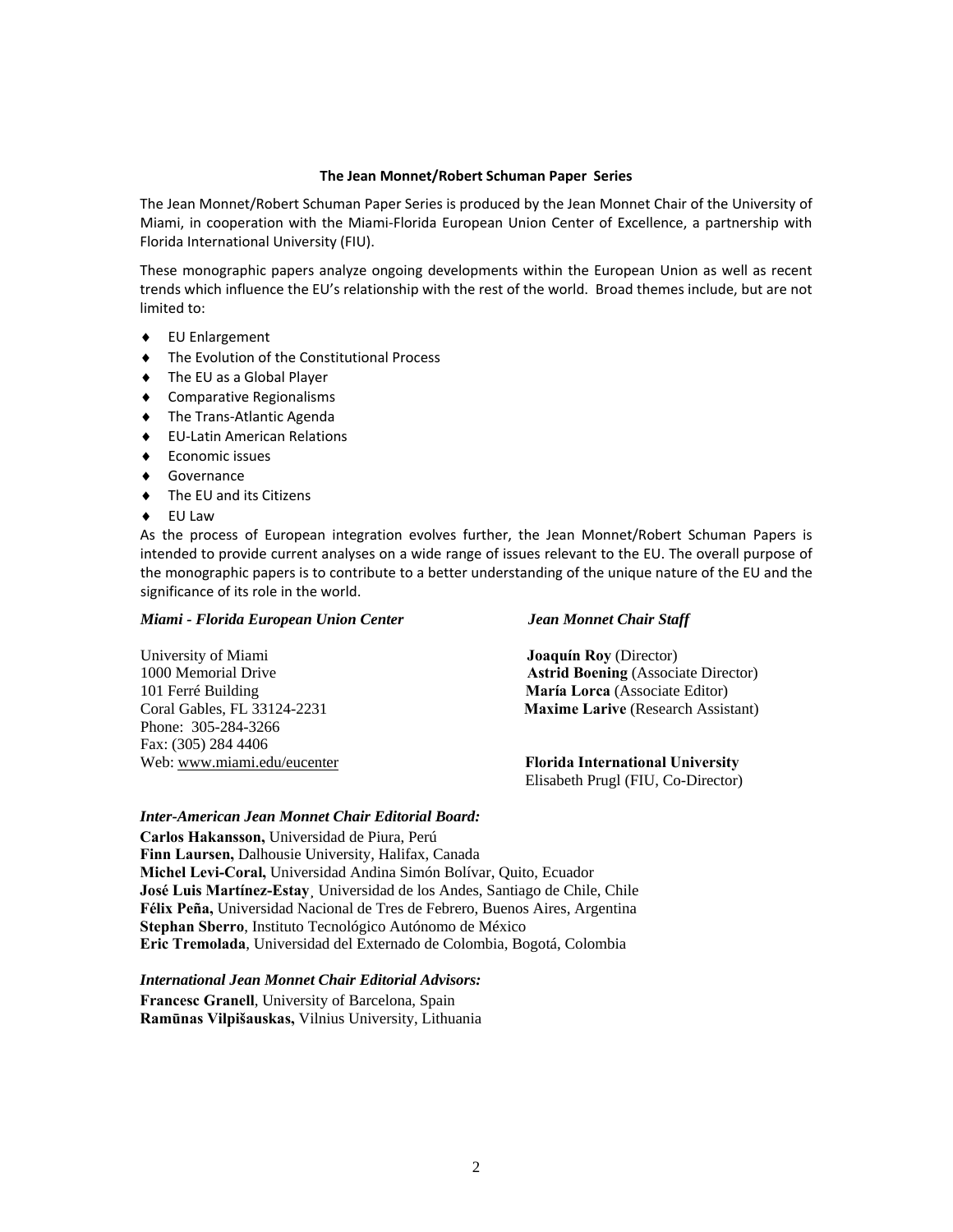#### **The Jean Monnet/Robert Schuman Paper Series**

The Jean Monnet/Robert Schuman Paper Series is produced by the Jean Monnet Chair of the University of Miami, in cooperation with the Miami‐Florida European Union Center of Excellence, a partnership with Florida International University (FIU).

These monographic papers analyze ongoing developments within the European Union as well as recent trends which influence the EU's relationship with the rest of the world. Broad themes include, but are not limited to:

- ♦ EU Enlargement
- ♦ The Evolution of the Constitutional Process
- ♦ The EU as a Global Player
- ♦ Comparative Regionalisms
- ♦ The Trans‐Atlantic Agenda
- ♦ EU‐Latin American Relations
- ♦ Economic issues
- ♦ Governance
- ♦ The EU and its Citizens
- ♦ EU Law

As the process of European integration evolves further, the Jean Monnet/Robert Schuman Papers is intended to provide current analyses on a wide range of issues relevant to the EU. The overall purpose of the monographic papers is to contribute to a better understanding of the unique nature of the EU and the significance of its role in the world.

#### *Miami - Florida European Union Center Jean Monnet Chair Staff*

# University of Miami **Joaquín Roy** (Director) 101 Ferré Building **María Lorca** (Associate Editor) Phone: 305-284-3266 Fax: (305) 284 4406

1000 Memorial Drive **Astrid Boening** (Associate Director) Coral Gables, FL 33124-2231 **Maxime Larive** (Research Assistant)

Web: [www.miami.edu/eucenter](http://www.miami.edu/eucenter) **Florida International University** Elisabeth Prugl (FIU, Co-Director)

#### *Inter-American Jean Monnet Chair Editorial Board:*

**Carlos Hakansson,** Universidad de Piura, Perú **Finn Laursen,** Dalhousie University, Halifax, Canada **Michel Levi-Coral,** Universidad Andina Simón Bolívar, Quito, Ecuador **José Luis Martínez-Estay¸** Universidad de los Andes, Santiago de Chile, Chile **Félix Peña,** Universidad Nacional de Tres de Febrero, Buenos Aires, Argentina **Stephan Sberro**, Instituto Tecnológico Autónomo de México **Eric Tremolada**, Universidad del Externado de Colombia, Bogotá, Colombia

*International Jean Monnet Chair Editorial Advisors:*  **Francesc Granell**, University of Barcelona, Spain **Ramūnas Vilpišauskas,** Vilnius University, Lithuania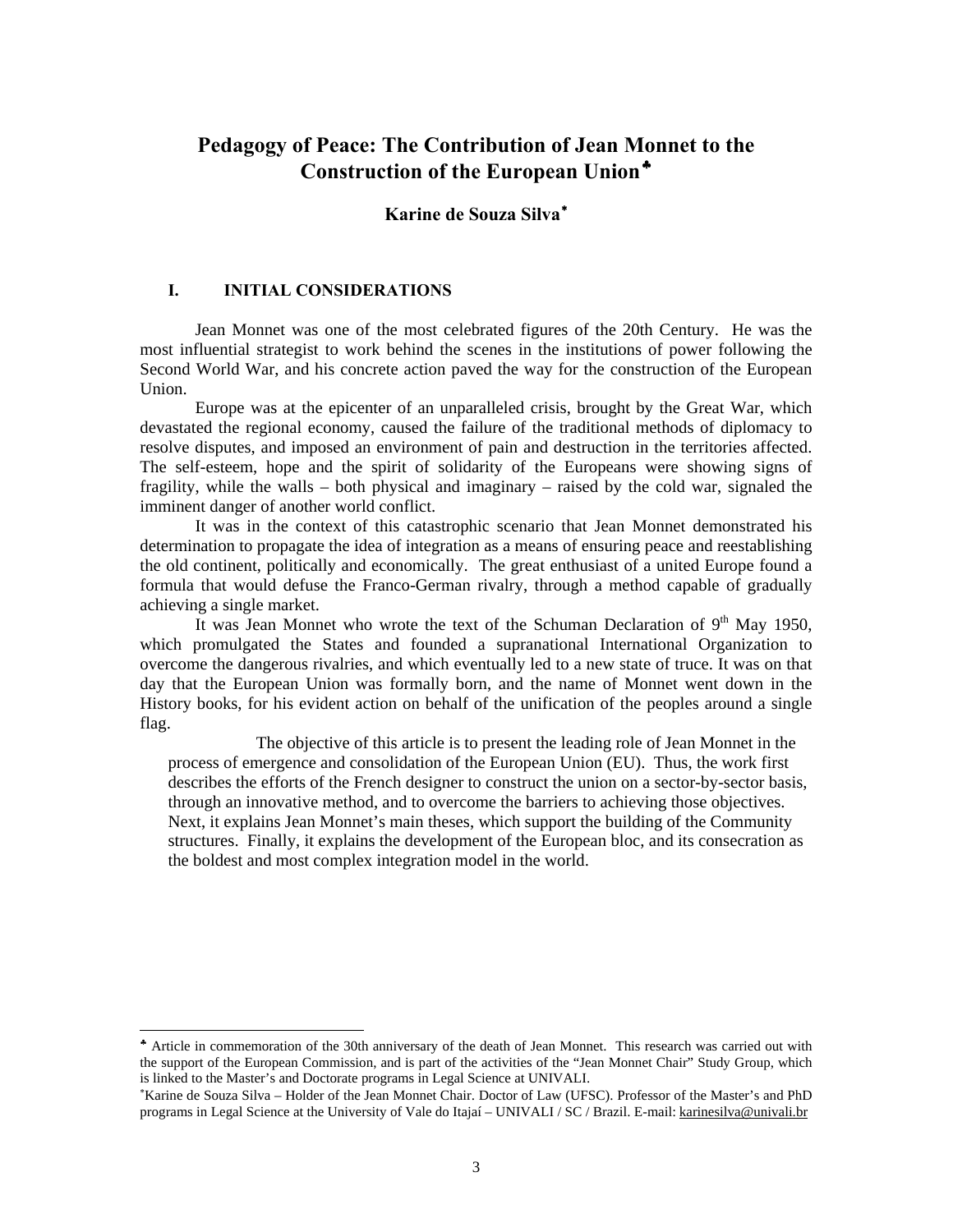## **Pedagogy of Peace: The Contribution of Jean M[on](#page-2-0)net to the Construction of the European Union**[♣](#page-2-0)

### **Karine de Souza Silva**[∗](#page-2-1)

#### **I. INITIAL CONSIDERATIONS**

 $\overline{a}$ 

Jean Monnet was one of the most celebrated figures of the 20th Century. He was the most influential strategist to work behind the scenes in the institutions of power following the Second World War, and his concrete action paved the way for the construction of the European Union.

Europe was at the epicenter of an unparalleled crisis, brought by the Great War, which devastated the regional economy, caused the failure of the traditional methods of diplomacy to resolve disputes, and imposed an environment of pain and destruction in the territories affected. The self-esteem, hope and the spirit of solidarity of the Europeans were showing signs of fragility, while the walls – both physical and imaginary – raised by the cold war, signaled the imminent danger of another world conflict.

It was in the context of this catastrophic scenario that Jean Monnet demonstrated his determination to propagate the idea of integration as a means of ensuring peace and reestablishing the old continent, politically and economically. The great enthusiast of a united Europe found a formula that would defuse the Franco-German rivalry, through a method capable of gradually achieving a single market.

It was Jean Monnet who wrote the text of the Schuman Declaration of  $9<sup>th</sup>$  May 1950, which promulgated the States and founded a supranational International Organization to overcome the dangerous rivalries, and which eventually led to a new state of truce. It was on that day that the European Union was formally born, and the name of Monnet went down in the History books, for his evident action on behalf of the unification of the peoples around a single flag.

The objective of this article is to present the leading role of Jean Monnet in the process of emergence and consolidation of the European Union (EU). Thus, the work first describes the efforts of the French designer to construct the union on a sector-by-sector basis, through an innovative method, and to overcome the barriers to achieving those objectives. Next, it explains Jean Monnet's main theses, which support the building of the Community structures. Finally, it explains the development of the European bloc, and its consecration as the boldest and most complex integration model in the world.

<span id="page-2-0"></span><sup>♣</sup> Article in commemoration of the 30th anniversary of the death of Jean Monnet. This research was carried out with the support of the European Commission, and is part of the activities of the "Jean Monnet Chair" Study Group, which is linked to the Master's and Doctorate programs in Legal Science at UNIVALI.

<span id="page-2-1"></span><sup>∗</sup> Karine de Souza Silva – Holder of the Jean Monnet Chair. Doctor of Law (UFSC). Professor of the Master's and PhD programs in Legal Science at the University of Vale do Itajaí – UNIVALI / SC / Brazil. E-mail: [karinesilva@univali.br](mailto:karinesilva@univali.br)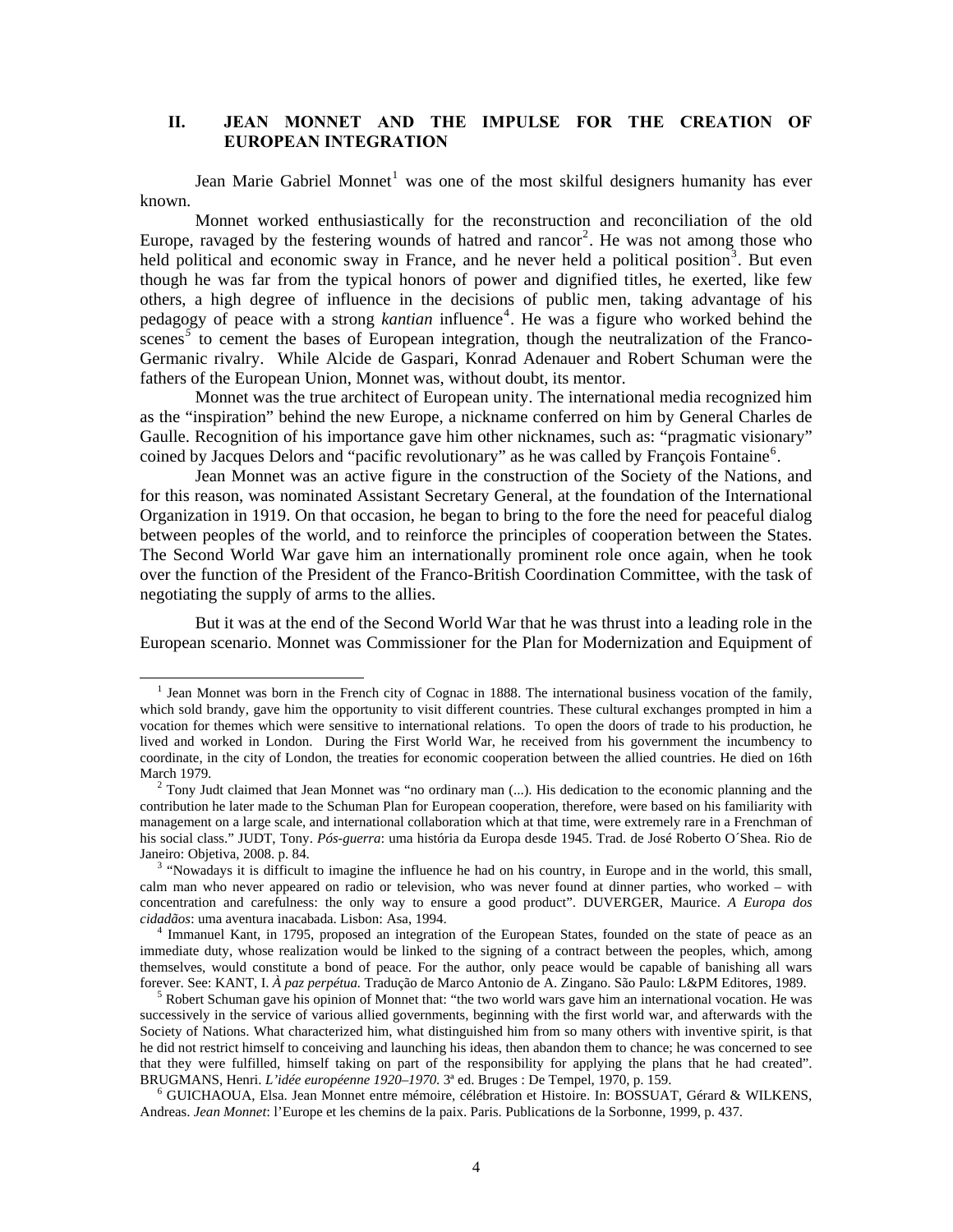#### **II. JEAN MONNET AND THE IMPULSE FOR THE CREATION OF EUROPEAN INTEGRATION**

Jean Marie Gabriel Monnet<sup>[1](#page-3-0)</sup> was one of the most skilful designers humanity has ever known.

Monnet worked enthusiastically for the reconstruction and reconciliation of the old Europe, ravaged by the festering wounds of hatred and rancor<sup>[2](#page-3-1)</sup>. He was not among those who held political and economic sway in France, and he never held a political position<sup>[3](#page-3-2)</sup>. But even though he was far from the typical honors of power and dignified titles, he exerted, like few others, a high degree of influence in the decisions of public men, taking advantage of his pedagogy of peace with a strong *kantian* influence<sup>[4](#page-3-3)</sup>. He was a figure who worked behind the scenes<sup>[5](#page-3-4)</sup> to cement the bases of European integration, though the neutralization of the Franco-Germanic rivalry. While Alcide de Gaspari, Konrad Adenauer and Robert Schuman were the fathers of the European Union, Monnet was, without doubt, its mentor.

Monnet was the true architect of European unity. The international media recognized him as the "inspiration" behind the new Europe, a nickname conferred on him by General Charles de Gaulle. Recognition of his importance gave him other nicknames, such as: "pragmatic visionary" coined by Jacques Delors and "pacific revolutionary" as he was called by François Fontaine<sup>[6](#page-3-5)</sup>.

Jean Monnet was an active figure in the construction of the Society of the Nations, and for this reason, was nominated Assistant Secretary General, at the foundation of the International Organization in 1919. On that occasion, he began to bring to the fore the need for peaceful dialog between peoples of the world, and to reinforce the principles of cooperation between the States. The Second World War gave him an internationally prominent role once again, when he took over the function of the President of the Franco-British Coordination Committee, with the task of negotiating the supply of arms to the allies.

But it was at the end of the Second World War that he was thrust into a leading role in the European scenario. Monnet was Commissioner for the Plan for Modernization and Equipment of

<span id="page-3-0"></span><sup>&</sup>lt;sup>1</sup> Jean Monnet was born in the French city of Cognac in 1888. The international business vocation of the family, which sold brandy, gave him the opportunity to visit different countries. These cultural exchanges prompted in him a vocation for themes which were sensitive to international relations. To open the doors of trade to his production, he lived and worked in London. During the First World War, he received from his government the incumbency to coordinate, in the city of London, the treaties for economic cooperation between the allied countries. He died on 16th March 1979.

<span id="page-3-1"></span><sup>&</sup>lt;sup>2</sup> Tony Judt claimed that Jean Monnet was "no ordinary man (...). His dedication to the economic planning and the contribution he later made to the Schuman Plan for European cooperation, therefore, were based on his familiarity with management on a large scale, and international collaboration which at that time, were extremely rare in a Frenchman of his social class." JUDT, Tony. *Pós-guerra*: uma história da Europa desde 1945. Trad. de José Roberto O´Shea. Rio de Janeiro: Objetiva, 2008. p. 84.

<span id="page-3-2"></span><sup>&</sup>lt;sup>3</sup> "Nowadays it is difficult to imagine the influence he had on his country, in Europe and in the world, this small, calm man who never appeared on radio or television, who was never found at dinner parties, who worked – with concentration and carefulness: the only way to ensure a good product". DUVERGER, Maurice. *A Europa dos cidadãos*: uma aventura inacabada. Lisbon: Asa, 1994.

<span id="page-3-3"></span><sup>4</sup> Immanuel Kant, in 1795, proposed an integration of the European States, founded on the state of peace as an immediate duty, whose realization would be linked to the signing of a contract between the peoples, which, among themselves, would constitute a bond of peace. For the author, only peace would be capable of banishing all wars forever. See: KANT, I. *À paz perpétua.* Tradução de Marco Antonio de A. Zingano. São Paulo: L&PM Editores, 1989.

<span id="page-3-4"></span><sup>5</sup> Robert Schuman gave his opinion of Monnet that: "the two world wars gave him an international vocation. He was successively in the service of various allied governments, beginning with the first world war, and afterwards with the Society of Nations. What characterized him, what distinguished him from so many others with inventive spirit, is that he did not restrict himself to conceiving and launching his ideas, then abandon them to chance; he was concerned to see that they were fulfilled, himself taking on part of the responsibility for applying the plans that he had created". BRUGMANS, Henri. *L'idée européenne 1920–1970*. 3ª ed. Bruges : De Tempel, 1970, p. 159.

<span id="page-3-5"></span><sup>6</sup> GUICHAOUA, Elsa. Jean Monnet entre mémoire, célébration et Histoire. In: BOSSUAT, Gérard & WILKENS, Andreas. *Jean Monnet*: l'Europe et les chemins de la paix. Paris. Publications de la Sorbonne, 1999, p. 437.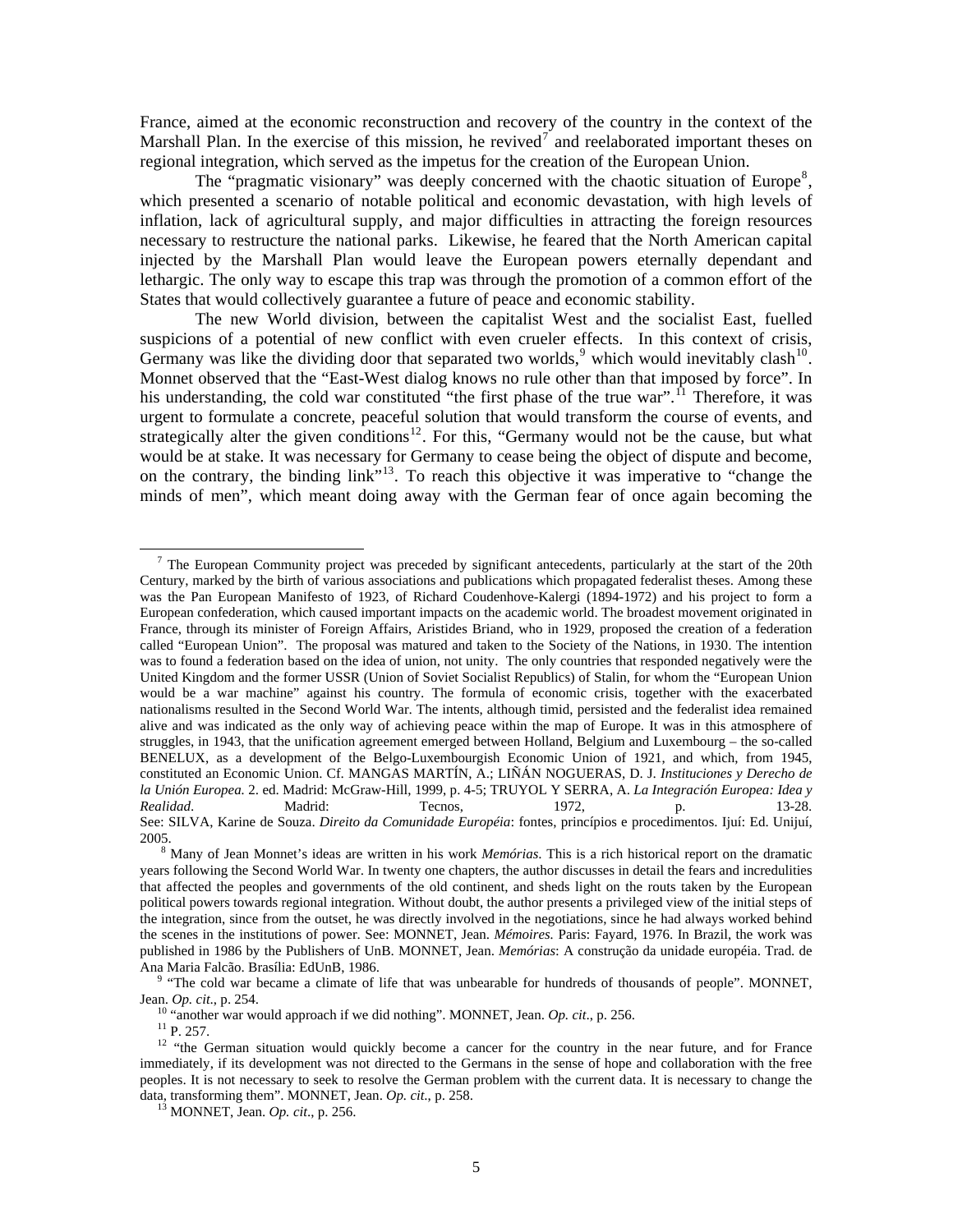France, aimed at the economic reconstruction and recovery of the country in the context of the Marshall Plan. In the exercise of this mission, he revived<sup>[7](#page-4-0)</sup> and reelaborated important theses on regional integration, which served as the impetus for the creation of the European Union.

The "pragmatic visionary" was deeply concerned with the chaotic situation of Europe<sup>[8](#page-4-1)</sup>, which presented a scenario of notable political and economic devastation, with high levels of inflation, lack of agricultural supply, and major difficulties in attracting the foreign resources necessary to restructure the national parks. Likewise, he feared that the North American capital injected by the Marshall Plan would leave the European powers eternally dependant and lethargic. The only way to escape this trap was through the promotion of a common effort of the States that would collectively guarantee a future of peace and economic stability.

The new World division, between the capitalist West and the socialist East, fuelled suspicions of a potential of new conflict with even crueler effects. In this context of crisis, Germany was like the dividing door that separated two worlds,<sup>[9](#page-4-2)</sup> which would inevitably clash<sup>[10](#page-4-3)</sup>. Monnet observed that the "East-West dialog knows no rule other than that imposed by force". In his understanding, the cold war constituted "the first phase of the true war".<sup>[11](#page-4-4)</sup> Therefore, it was urgent to formulate a concrete, peaceful solution that would transform the course of events, and strategically alter the given conditions<sup>[12](#page-4-5)</sup>. For this, "Germany would not be the cause, but what would be at stake. It was necessary for Germany to cease being the object of dispute and become, on the contrary, the binding link"[13](#page-4-6)*.* To reach this objective it was imperative to "change the minds of men", which meant doing away with the German fear of once again becoming the

<span id="page-4-0"></span> $\overline{a}$ <sup>7</sup> The European Community project was preceded by significant antecedents, particularly at the start of the 20th Century, marked by the birth of various associations and publications which propagated federalist theses. Among these was the Pan European Manifesto of 1923, of Richard Coudenhove-Kalergi (1894-1972) and his project to form a European confederation, which caused important impacts on the academic world. The broadest movement originated in France, through its minister of Foreign Affairs, Aristides Briand, who in 1929, proposed the creation of a federation called "European Union". The proposal was matured and taken to the Society of the Nations, in 1930. The intention was to found a federation based on the idea of union, not unity. The only countries that responded negatively were the United Kingdom and the former USSR (Union of Soviet Socialist Republics) of Stalin, for whom the "European Union would be a war machine" against his country. The formula of economic crisis, together with the exacerbated nationalisms resulted in the Second World War. The intents, although timid, persisted and the federalist idea remained alive and was indicated as the only way of achieving peace within the map of Europe. It was in this atmosphere of struggles, in 1943, that the unification agreement emerged between Holland, Belgium and Luxembourg – the so-called BENELUX, as a development of the Belgo-Luxembourgish Economic Union of 1921, and which, from 1945, constituted an Economic Union. Cf. MANGAS MARTÍN, A.; LIÑÁN NOGUERAS, D. J. *Instituciones y Derecho de la Unión Europea.* 2. ed. Madrid: McGraw-Hill, 1999, p. 4-5; TRUYOL Y SERRA, A. *La Integración Europea: Idea y Realidad*. Madrid: Tecnos, 1972, p. 13-28. See: SILVA, Karine de Souza. *Direito da Comunidade Européia*: fontes, princípios e procedimentos. Ijuí: Ed. Unijuí, 2005.

<span id="page-4-1"></span><sup>8</sup> Many of Jean Monnet's ideas are written in his work *Memórias*. This is a rich historical report on the dramatic years following the Second World War. In twenty one chapters, the author discusses in detail the fears and incredulities that affected the peoples and governments of the old continent, and sheds light on the routs taken by the European political powers towards regional integration. Without doubt, the author presents a privileged view of the initial steps of the integration, since from the outset, he was directly involved in the negotiations, since he had always worked behind the scenes in the institutions of power. See: MONNET, Jean. *Mémoires.* Paris: Fayard, 1976. In Brazil, the work was published in 1986 by the Publishers of UnB. MONNET, Jean. *Memórias*: A construção da unidade européia. Trad. de Ana Maria Falcão. Brasília: EdUnB, 1986.

<span id="page-4-2"></span><sup>&</sup>lt;sup>9</sup> "The cold war became a climate of life that was unbearable for hundreds of thousands of people". MONNET, Jean. *Op. cit*., p. 254.

<span id="page-4-3"></span><sup>&</sup>lt;sup>10</sup> "another war would approach if we did nothing". MONNET, Jean. *Op. cit.*, p. 256.

 $11$  P. 257.

<span id="page-4-6"></span><span id="page-4-5"></span><span id="page-4-4"></span><sup>&</sup>lt;sup>12</sup> "the German situation would quickly become a cancer for the country in the near future, and for France immediately, if its development was not directed to the Germans in the sense of hope and collaboration with the free peoples. It is not necessary to seek to resolve the German problem with the current data. It is necessary to change the data, transforming them". MONNET, Jean. *Op. cit*., p. 258.

13 MONNET, Jean. *Op. cit*., p. 256.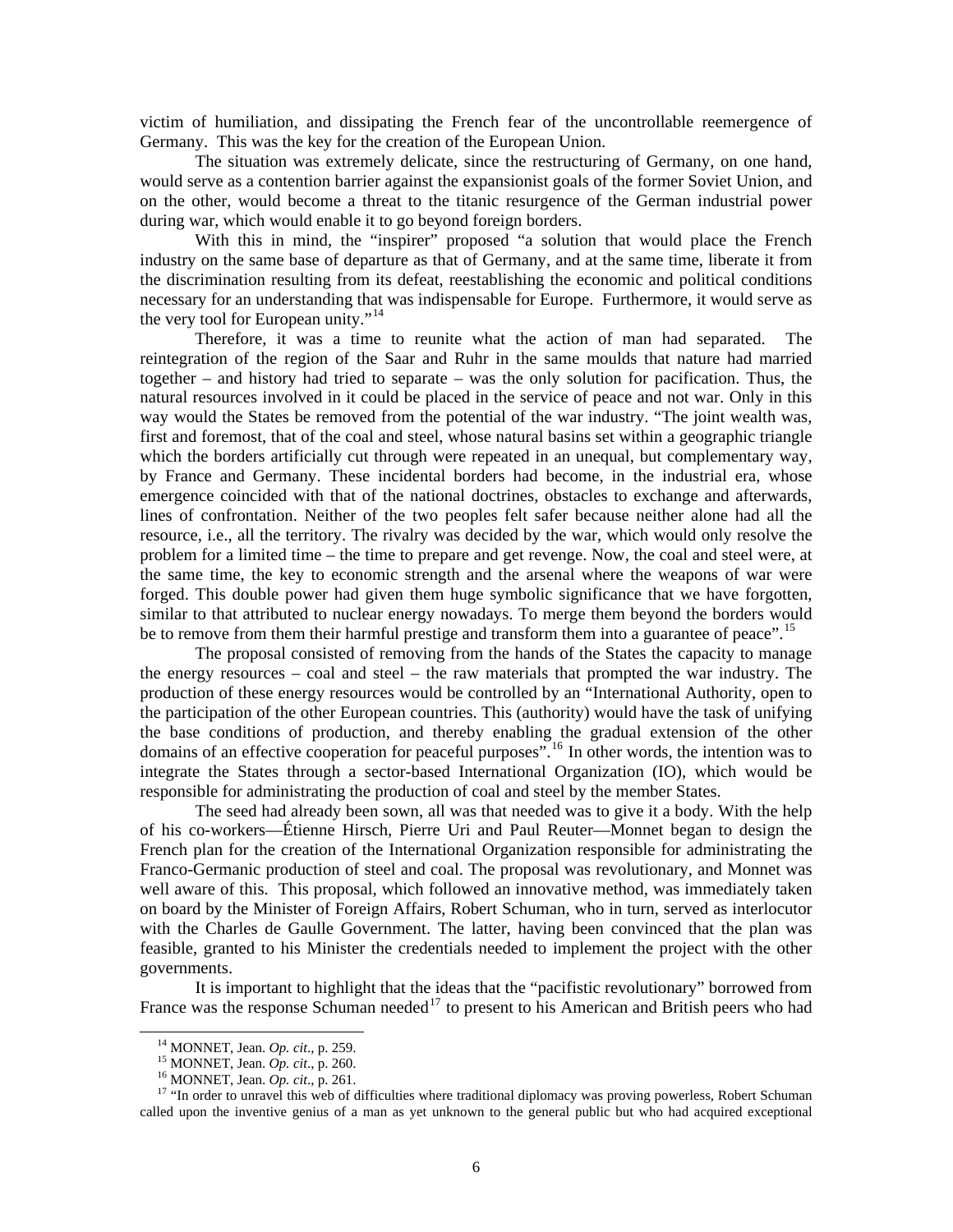victim of humiliation, and dissipating the French fear of the uncontrollable reemergence of Germany. This was the key for the creation of the European Union.

The situation was extremely delicate, since the restructuring of Germany, on one hand, would serve as a contention barrier against the expansionist goals of the former Soviet Union, and on the other, would become a threat to the titanic resurgence of the German industrial power during war, which would enable it to go beyond foreign borders.

With this in mind, the "inspirer" proposed "a solution that would place the French industry on the same base of departure as that of Germany, and at the same time, liberate it from the discrimination resulting from its defeat, reestablishing the economic and political conditions necessary for an understanding that was indispensable for Europe. Furthermore, it would serve as the very tool for European unity."<sup>[14](#page-5-0)</sup>

Therefore, it was a time to reunite what the action of man had separated. The reintegration of the region of the Saar and Ruhr in the same moulds that nature had married together – and history had tried to separate – was the only solution for pacification. Thus, the natural resources involved in it could be placed in the service of peace and not war. Only in this way would the States be removed from the potential of the war industry. "The joint wealth was, first and foremost, that of the coal and steel, whose natural basins set within a geographic triangle which the borders artificially cut through were repeated in an unequal, but complementary way, by France and Germany. These incidental borders had become, in the industrial era, whose emergence coincided with that of the national doctrines, obstacles to exchange and afterwards, lines of confrontation. Neither of the two peoples felt safer because neither alone had all the resource, i.e., all the territory. The rivalry was decided by the war, which would only resolve the problem for a limited time – the time to prepare and get revenge. Now, the coal and steel were, at the same time, the key to economic strength and the arsenal where the weapons of war were forged. This double power had given them huge symbolic significance that we have forgotten, similar to that attributed to nuclear energy nowadays. To merge them beyond the borders would be to remove from them their harmful prestige and transform them into a guarantee of peace".<sup>[15](#page-5-1)</sup>

The proposal consisted of removing from the hands of the States the capacity to manage the energy resources – coal and steel – the raw materials that prompted the war industry. The production of these energy resources would be controlled by an "International Authority, open to the participation of the other European countries. This (authority) would have the task of unifying the base conditions of production, and thereby enabling the gradual extension of the other domains of an effective cooperation for peaceful purposes".<sup>[16](#page-5-2)</sup> In other words, the intention was to integrate the States through a sector-based International Organization (IO), which would be responsible for administrating the production of coal and steel by the member States.

The seed had already been sown, all was that needed was to give it a body. With the help of his co-workers—Étienne Hirsch, Pierre Uri and Paul Reuter—Monnet began to design the French plan for the creation of the International Organization responsible for administrating the Franco-Germanic production of steel and coal. The proposal was revolutionary, and Monnet was well aware of this. This proposal, which followed an innovative method, was immediately taken on board by the Minister of Foreign Affairs, Robert Schuman, who in turn, served as interlocutor with the Charles de Gaulle Government. The latter, having been convinced that the plan was feasible, granted to his Minister the credentials needed to implement the project with the other governments.

It is important to highlight that the ideas that the "pacifistic revolutionary" borrowed from France was the response Schuman needed<sup>[17](#page-5-3)</sup> to present to his American and British peers who had

14 MONNET, Jean. *Op. cit*., p. 259.

15 MONNET, Jean. *Op. cit*., p. 260.

16 MONNET, Jean. *Op. cit*., p. 261.

<span id="page-5-3"></span><span id="page-5-2"></span><span id="page-5-1"></span><span id="page-5-0"></span><sup>&</sup>lt;sup>17</sup> "In order to unravel this web of difficulties where traditional diplomacy was proving powerless, Robert Schuman called upon the inventive genius of a man as yet unknown to the general public but who had acquired exceptional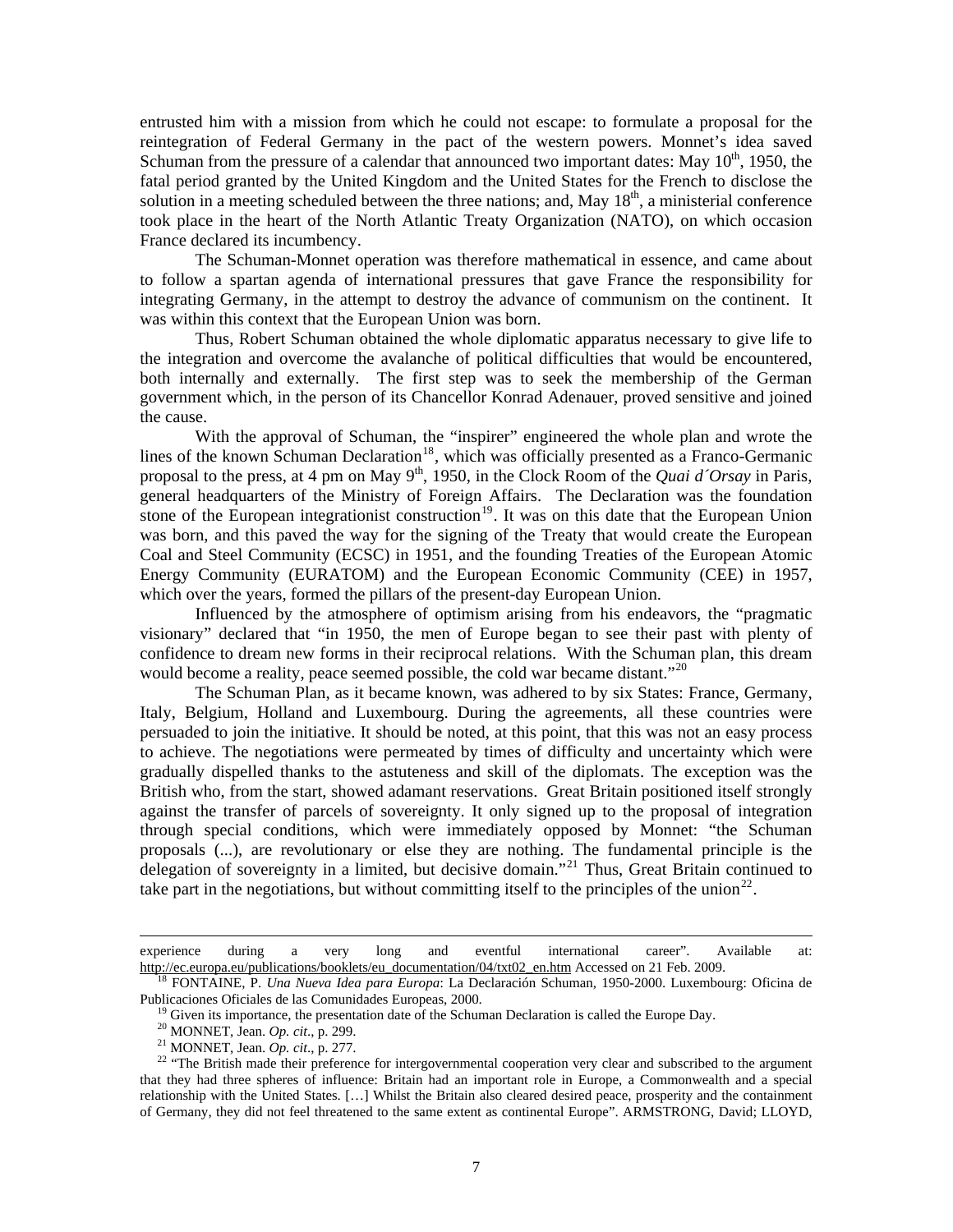entrusted him with a mission from which he could not escape: to formulate a proposal for the reintegration of Federal Germany in the pact of the western powers. Monnet's idea saved Schuman from the pressure of a calendar that announced two important dates: May  $10^{th}$ , 1950, the fatal period granted by the United Kingdom and the United States for the French to disclose the solution in a meeting scheduled between the three nations; and, May  $18<sup>th</sup>$ , a ministerial conference took place in the heart of the North Atlantic Treaty Organization (NATO), on which occasion France declared its incumbency.

The Schuman-Monnet operation was therefore mathematical in essence, and came about to follow a spartan agenda of international pressures that gave France the responsibility for integrating Germany, in the attempt to destroy the advance of communism on the continent. It was within this context that the European Union was born.

Thus, Robert Schuman obtained the whole diplomatic apparatus necessary to give life to the integration and overcome the avalanche of political difficulties that would be encountered, both internally and externally. The first step was to seek the membership of the German government which, in the person of its Chancellor Konrad Adenauer, proved sensitive and joined the cause.

With the approval of Schuman, the "inspirer" engineered the whole plan and wrote the lines of the known Schuman Declaration<sup>[18](#page-6-0)</sup>, which was officially presented as a Franco-Germanic proposal to the press, at 4 pm on May 9<sup>th</sup>, 1950, in the Clock Room of the *Quai d'Orsay* in Paris, general headquarters of the Ministry of Foreign Affairs. The Declaration was the foundation stone of the European integrationist construction<sup>[19](#page-6-1)</sup>. It was on this date that the European Union was born, and this paved the way for the signing of the Treaty that would create the European Coal and Steel Community (ECSC) in 1951, and the founding Treaties of the European Atomic Energy Community (EURATOM) and the European Economic Community (CEE) in 1957, which over the years, formed the pillars of the present-day European Union.

Influenced by the atmosphere of optimism arising from his endeavors, the "pragmatic visionary" declared that "in 1950, the men of Europe began to see their past with plenty of confidence to dream new forms in their reciprocal relations. With the Schuman plan, this dream would become a reality, peace seemed possible, the cold war became distant."<sup>[20](#page-6-2)</sup>

The Schuman Plan, as it became known, was adhered to by six States: France, Germany, Italy, Belgium, Holland and Luxembourg. During the agreements, all these countries were persuaded to join the initiative. It should be noted, at this point, that this was not an easy process to achieve. The negotiations were permeated by times of difficulty and uncertainty which were gradually dispelled thanks to the astuteness and skill of the diplomats. The exception was the British who, from the start, showed adamant reservations. Great Britain positioned itself strongly against the transfer of parcels of sovereignty. It only signed up to the proposal of integration through special conditions, which were immediately opposed by Monnet: "the Schuman proposals (...), are revolutionary or else they are nothing. The fundamental principle is the delegation of sovereignty in a limited, but decisive domain."<sup>[21](#page-6-3)</sup> Thus, Great Britain continued to take part in the negotiations, but without committing itself to the principles of the union<sup>[22](#page-6-4)</sup>.

experience during a very long and eventful international career". Available at: [http://ec.europa.eu/publications/booklets/eu\\_documentation/04/txt02\\_en.htm](http://ec.europa.eu/publications/booklets/eu_documentation/04/txt02_en.htm) Accessed on 21 Feb. 2009.

<span id="page-6-1"></span><span id="page-6-0"></span>18 FONTAINE, P. *Una Nueva Idea para Europa*: La Declaración Schuman*,* 1950-2000. Luxembourg: Oficina de Publicaciones Oficiales de las Comunidades Europeas, 2000.

<sup>&</sup>lt;sup>19</sup> Given its importance, the presentation date of the Schuman Declaration is called the Europe Day.

20 MONNET, Jean. *Op. cit*., p. 299.

21 MONNET, Jean. *Op. cit*., p. 277.

<span id="page-6-4"></span><span id="page-6-3"></span><span id="page-6-2"></span><sup>&</sup>lt;sup>22</sup> "The British made their preference for intergovernmental cooperation very clear and subscribed to the argument that they had three spheres of influence: Britain had an important role in Europe, a Commonwealth and a special relationship with the United States. […] Whilst the Britain also cleared desired peace, prosperity and the containment of Germany, they did not feel threatened to the same extent as continental Europe". ARMSTRONG, David; LLOYD,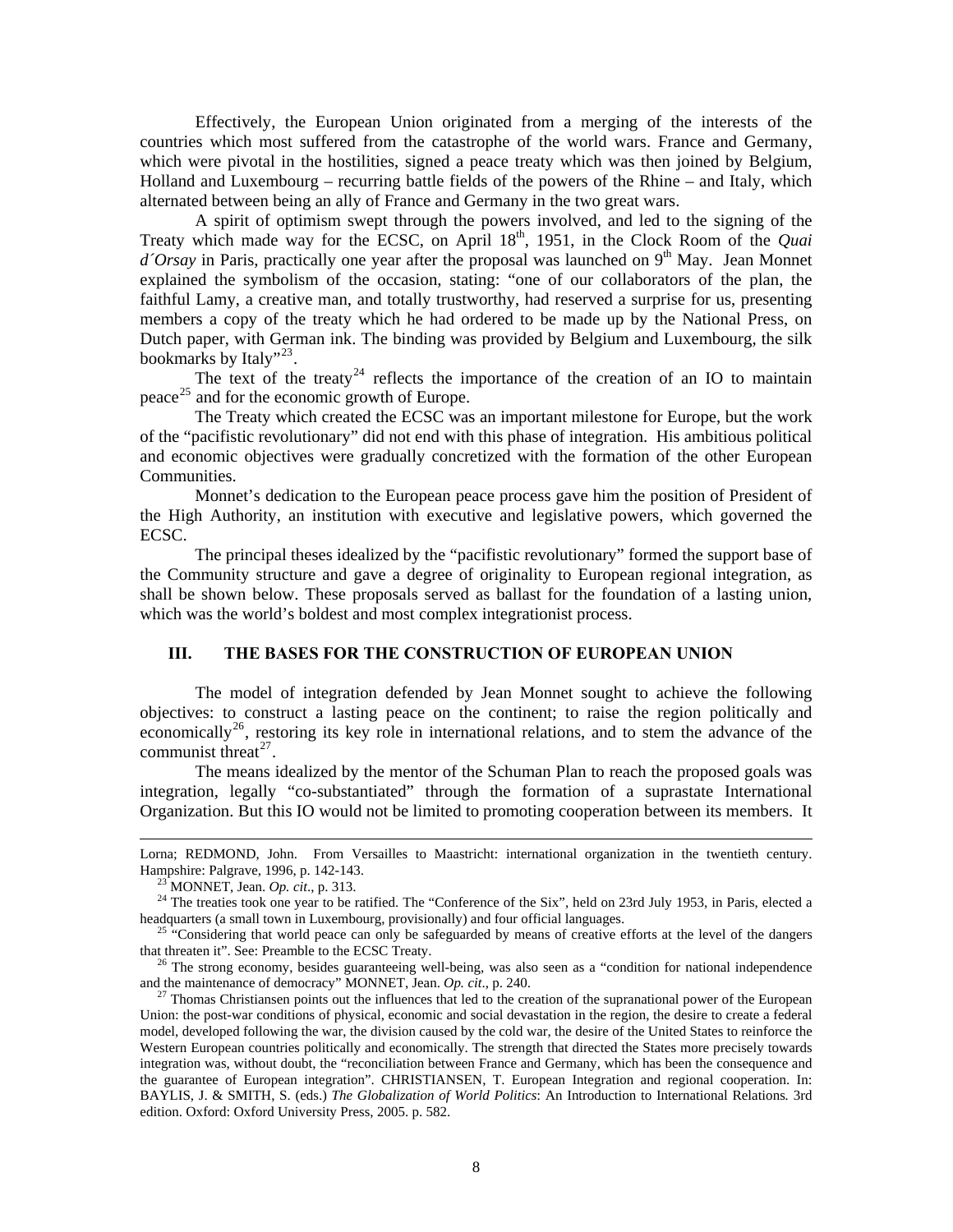Effectively, the European Union originated from a merging of the interests of the countries which most suffered from the catastrophe of the world wars. France and Germany, which were pivotal in the hostilities, signed a peace treaty which was then joined by Belgium, Holland and Luxembourg – recurring battle fields of the powers of the Rhine – and Italy, which alternated between being an ally of France and Germany in the two great wars.

A spirit of optimism swept through the powers involved, and led to the signing of the Treaty which made way for the ECSC, on April 18th, 1951, in the Clock Room of the *Quai d'Orsay* in Paris, practically one year after the proposal was launched on 9<sup>th</sup> May. Jean Monnet explained the symbolism of the occasion, stating: "one of our collaborators of the plan, the faithful Lamy, a creative man, and totally trustworthy, had reserved a surprise for us, presenting members a copy of the treaty which he had ordered to be made up by the National Press, on Dutch paper, with German ink. The binding was provided by Belgium and Luxembourg, the silk bookmarks by Italy"<sup>[23](#page-7-0)</sup>.

The text of the treaty<sup>[24](#page-7-1)</sup> reflects the importance of the creation of an IO to maintain peace<sup>[25](#page-7-2)</sup> and for the economic growth of Europe.

The Treaty which created the ECSC was an important milestone for Europe, but the work of the "pacifistic revolutionary" did not end with this phase of integration. His ambitious political and economic objectives were gradually concretized with the formation of the other European Communities.

Monnet's dedication to the European peace process gave him the position of President of the High Authority, an institution with executive and legislative powers, which governed the ECSC.

The principal theses idealized by the "pacifistic revolutionary" formed the support base of the Community structure and gave a degree of originality to European regional integration, as shall be shown below. These proposals served as ballast for the foundation of a lasting union, which was the world's boldest and most complex integrationist process.

#### **III. THE BASES FOR THE CONSTRUCTION OF EUROPEAN UNION**

The model of integration defended by Jean Monnet sought to achieve the following objectives: to construct a lasting peace on the continent; to raise the region politically and economically<sup>[26](#page-7-3)</sup>, restoring its key role in international relations, and to stem the advance of the communist threat<sup>[27](#page-7-4)</sup>.

The means idealized by the mentor of the Schuman Plan to reach the proposed goals was integration, legally "co-substantiated" through the formation of a suprastate International Organization. But this IO would not be limited to promoting cooperation between its members. It

Lorna; REDMOND, John. From Versailles to Maastricht: international organization in the twentieth century. Hampshire: Palgrave, 1996, p. 142-143.

23 MONNET, Jean. *Op. cit*., p. 313.

<span id="page-7-1"></span><span id="page-7-0"></span><sup>&</sup>lt;sup>24</sup> The treaties took one year to be ratified. The "Conference of the Six", held on 23rd July 1953, in Paris, elected a headquarters (a small town in Luxembourg, provisionally) and four official languages.

<span id="page-7-2"></span>25 "Considering that world peace can only be safeguarded by means of creative efforts at the level of the dangers that threaten it". See: Preamble to the ECSC Treaty.

<span id="page-7-3"></span><sup>&</sup>lt;sup>26</sup> The strong economy, besides guaranteeing well-being, was also seen as a "condition for national independence and the maintenance of democracy" MONNET, Jean. *Op. cit*., p. 240.

<span id="page-7-4"></span>27 Thomas Christiansen points out the influences that led to the creation of the supranational power of the European Union: the post-war conditions of physical, economic and social devastation in the region, the desire to create a federal model, developed following the war, the division caused by the cold war, the desire of the United States to reinforce the Western European countries politically and economically. The strength that directed the States more precisely towards integration was, without doubt, the "reconciliation between France and Germany, which has been the consequence and the guarantee of European integration". CHRISTIANSEN, T. European Integration and regional cooperation. In: BAYLIS, J. & SMITH, S. (eds.) *The Globalization of World Politics*: An Introduction to International Relations*.* 3rd edition. Oxford: Oxford University Press, 2005. p. 582.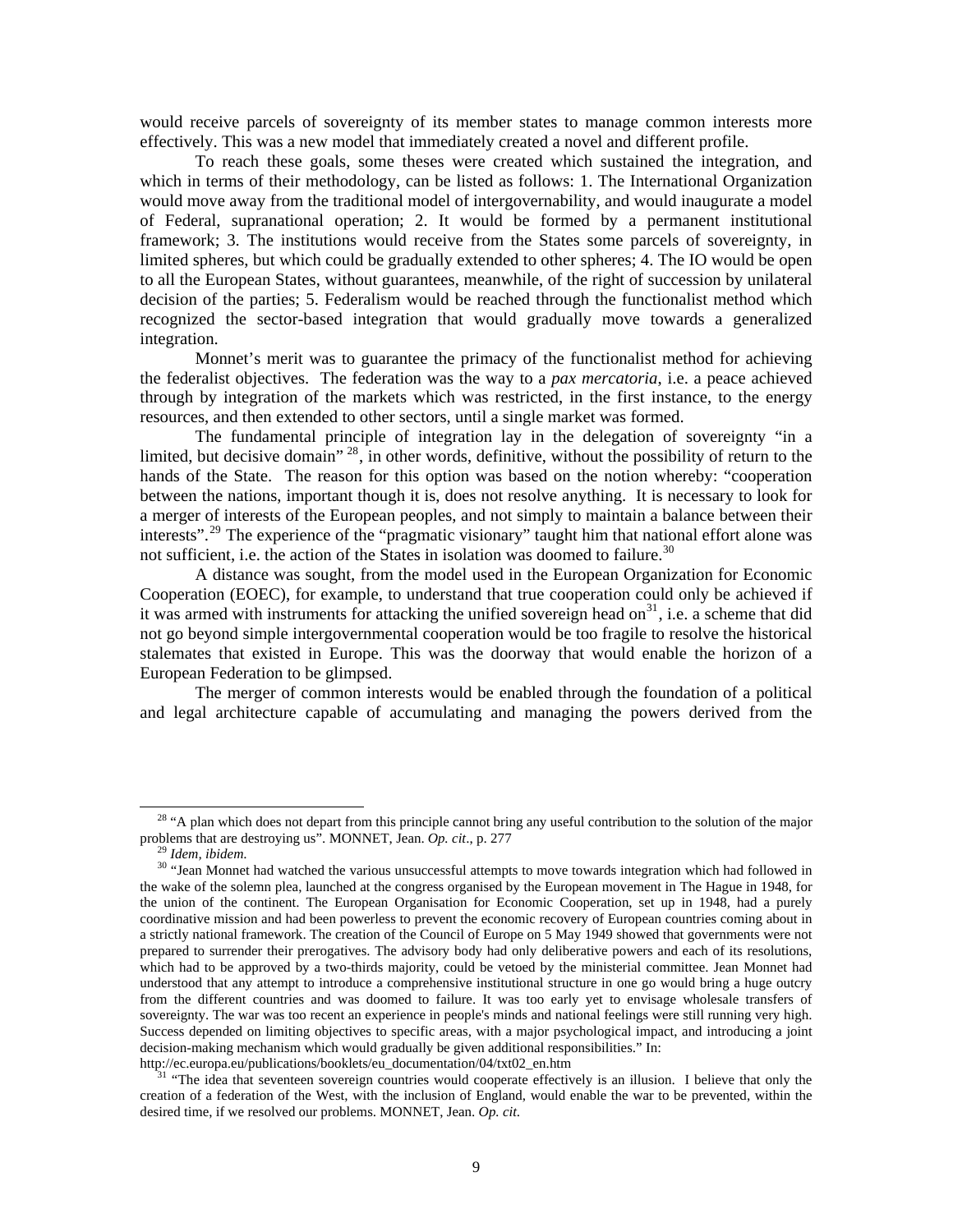would receive parcels of sovereignty of its member states to manage common interests more effectively. This was a new model that immediately created a novel and different profile.

To reach these goals, some theses were created which sustained the integration, and which in terms of their methodology, can be listed as follows: 1. The International Organization would move away from the traditional model of intergovernability, and would inaugurate a model of Federal, supranational operation; 2. It would be formed by a permanent institutional framework; 3. The institutions would receive from the States some parcels of sovereignty, in limited spheres, but which could be gradually extended to other spheres; 4. The IO would be open to all the European States, without guarantees, meanwhile, of the right of succession by unilateral decision of the parties; 5. Federalism would be reached through the functionalist method which recognized the sector-based integration that would gradually move towards a generalized integration.

Monnet's merit was to guarantee the primacy of the functionalist method for achieving the federalist objectives. The federation was the way to a *pax mercatoria*, i.e. a peace achieved through by integration of the markets which was restricted, in the first instance, to the energy resources, and then extended to other sectors, until a single market was formed.

The fundamental principle of integration lay in the delegation of sovereignty "in a limited, but decisive domain"  $^{28}$  $^{28}$  $^{28}$ , in other words, definitive, without the possibility of return to the hands of the State. The reason for this option was based on the notion whereby: "cooperation between the nations, important though it is, does not resolve anything. It is necessary to look for a merger of interests of the European peoples, and not simply to maintain a balance between their interests".<sup>[29](#page-8-1)</sup> The experience of the "pragmatic visionary" taught him that national effort alone was not sufficient, i.e. the action of the States in isolation was doomed to failure.<sup>[30](#page-8-2)</sup>

A distance was sought, from the model used in the European Organization for Economic Cooperation (EOEC), for example, to understand that true cooperation could only be achieved if it was armed with instruments for attacking the unified sovereign head on<sup>[31](#page-8-3)</sup>, i.e. a scheme that did not go beyond simple intergovernmental cooperation would be too fragile to resolve the historical stalemates that existed in Europe. This was the doorway that would enable the horizon of a European Federation to be glimpsed.

The merger of common interests would be enabled through the foundation of a political and legal architecture capable of accumulating and managing the powers derived from the

<span id="page-8-0"></span><sup>&</sup>lt;sup>28</sup> "A plan which does not depart from this principle cannot bring any useful contribution to the solution of the major problems that are destroying us". MONNET, Jean. *Op. cit*., p. 277

<sup>29</sup> *Idem, ibidem*.

<span id="page-8-2"></span><span id="page-8-1"></span><sup>&</sup>lt;sup>30</sup> "Jean Monnet had watched the various unsuccessful attempts to move towards integration which had followed in the wake of the solemn plea, launched at the congress organised by the European movement in The Hague in 1948, for the union of the continent. The European Organisation for Economic Cooperation, set up in 1948, had a purely coordinative mission and had been powerless to prevent the economic recovery of European countries coming about in a strictly national framework. The creation of the Council of Europe on 5 May 1949 showed that governments were not prepared to surrender their prerogatives. The advisory body had only deliberative powers and each of its resolutions, which had to be approved by a two-thirds majority, could be vetoed by the ministerial committee. Jean Monnet had understood that any attempt to introduce a comprehensive institutional structure in one go would bring a huge outcry from the different countries and was doomed to failure. It was too early yet to envisage wholesale transfers of sovereignty. The war was too recent an experience in people's minds and national feelings were still running very high. Success depended on limiting objectives to specific areas, with a major psychological impact, and introducing a joint decision-making mechanism which would gradually be given additional responsibilities." In: http://ec.europa.eu/publications/booklets/eu\_documentation/04/txt02\_en.htm

<span id="page-8-3"></span><sup>&</sup>lt;sup>1</sup> "The idea that seventeen sovereign countries would cooperate effectively is an illusion. I believe that only the creation of a federation of the West, with the inclusion of England, would enable the war to be prevented, within the desired time, if we resolved our problems. MONNET, Jean. *Op. cit*.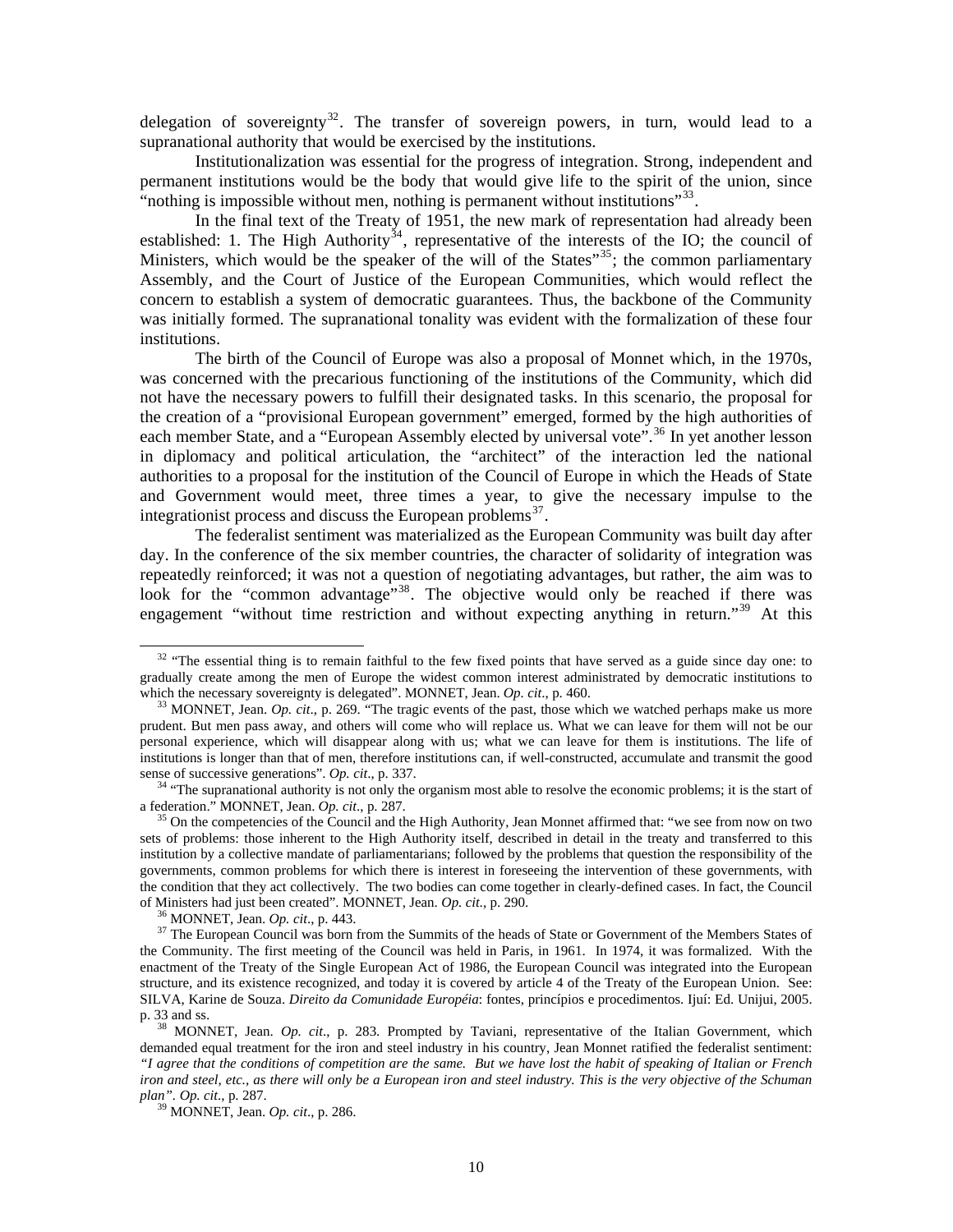delegation of sovereignty $32$ . The transfer of sovereign powers, in turn, would lead to a supranational authority that would be exercised by the institutions.

Institutionalization was essential for the progress of integration. Strong, independent and permanent institutions would be the body that would give life to the spirit of the union, since "nothing is impossible without men, nothing is permanent without institutions"<sup>[33](#page-9-1)</sup>.

In the final text of the Treaty of 1951, the new mark of representation had already been established: 1. The High Authority<sup>[34](#page-9-2)</sup>, representative of the interests of the IO; the council of Ministers, which would be the speaker of the will of the States<sup> $35$ </sup>; the common parliamentary Assembly, and the Court of Justice of the European Communities, which would reflect the concern to establish a system of democratic guarantees. Thus, the backbone of the Community was initially formed. The supranational tonality was evident with the formalization of these four institutions.

The birth of the Council of Europe was also a proposal of Monnet which, in the 1970s, was concerned with the precarious functioning of the institutions of the Community, which did not have the necessary powers to fulfill their designated tasks. In this scenario, the proposal for the creation of a "provisional European government" emerged, formed by the high authorities of each member State, and a "European Assembly elected by universal vote".<sup>[36](#page-9-4)</sup> In yet another lesson in diplomacy and political articulation, the "architect" of the interaction led the national authorities to a proposal for the institution of the Council of Europe in which the Heads of State and Government would meet, three times a year, to give the necessary impulse to the integrationist process and discuss the European problems $^{37}$  $^{37}$  $^{37}$ .

The federalist sentiment was materialized as the European Community was built day after day. In the conference of the six member countries, the character of solidarity of integration was repeatedly reinforced; it was not a question of negotiating advantages, but rather, the aim was to look for the "common advantage<sup>"[38](#page-9-6)</sup>. The objective would only be reached if there was engagement "without time restriction and without expecting anything in return."<sup>[39](#page-9-7)</sup> At this

36 MONNET, Jean. *Op. cit*., p. 443.

<span id="page-9-0"></span><sup>&</sup>lt;sup>32</sup> "The essential thing is to remain faithful to the few fixed points that have served as a guide since day one: to gradually create among the men of Europe the widest common interest administrated by democratic institutions to which the necessary sovereignty is delegated". MONNET, Jean. *Op. cit*., p. 460.

<span id="page-9-1"></span>33 MONNET, Jean. *Op. cit*., p. 269. "The tragic events of the past, those which we watched perhaps make us more prudent. But men pass away, and others will come who will replace us. What we can leave for them will not be our personal experience, which will disappear along with us; what we can leave for them is institutions. The life of institutions is longer than that of men, therefore institutions can, if well-constructed, accumulate and transmit the good sense of successive generations". *Op. cit*., p. 337.

<span id="page-9-2"></span><sup>&</sup>lt;sup>34</sup> "The supranational authority is not only the organism most able to resolve the economic problems; it is the start of a federation." MONNET, Jean. *Op. cit*., p. 287.

<span id="page-9-3"></span>35 On the competencies of the Council and the High Authority, Jean Monnet affirmed that: "we see from now on two sets of problems: those inherent to the High Authority itself, described in detail in the treaty and transferred to this institution by a collective mandate of parliamentarians; followed by the problems that question the responsibility of the governments, common problems for which there is interest in foreseeing the intervention of these governments, with the condition that they act collectively. The two bodies can come together in clearly-defined cases. In fact, the Council of Ministers had just been created". MONNET, Jean. *Op. cit*., p. 290.

<span id="page-9-5"></span><span id="page-9-4"></span> $37$  The European Council was born from the Summits of the heads of State or Government of the Members States of the Community. The first meeting of the Council was held in Paris, in 1961. In 1974, it was formalized. With the enactment of the Treaty of the Single European Act of 1986, the European Council was integrated into the European structure, and its existence recognized, and today it is covered by article 4 of the Treaty of the European Union. See: SILVA, Karine de Souza. *Direito da Comunidade Européia*: fontes, princípios e procedimentos. Ijuí: Ed. Unijui, 2005. p. 33 and ss.

<span id="page-9-6"></span><sup>&</sup>lt;sup>38</sup> MONNET, Jean. *Op. cit.*, p. 283. Prompted by Taviani, representative of the Italian Government, which demanded equal treatment for the iron and steel industry in his country, Jean Monnet ratified the federalist sentiment: *"I agree that the conditions of competition are the same. But we have lost the habit of speaking of Italian or French iron and steel, etc., as there will only be a European iron and steel industry. This is the very objective of the Schuman plan". Op. cit*., p. 287.

<span id="page-9-7"></span>39 MONNET, Jean. *Op. cit*., p. 286.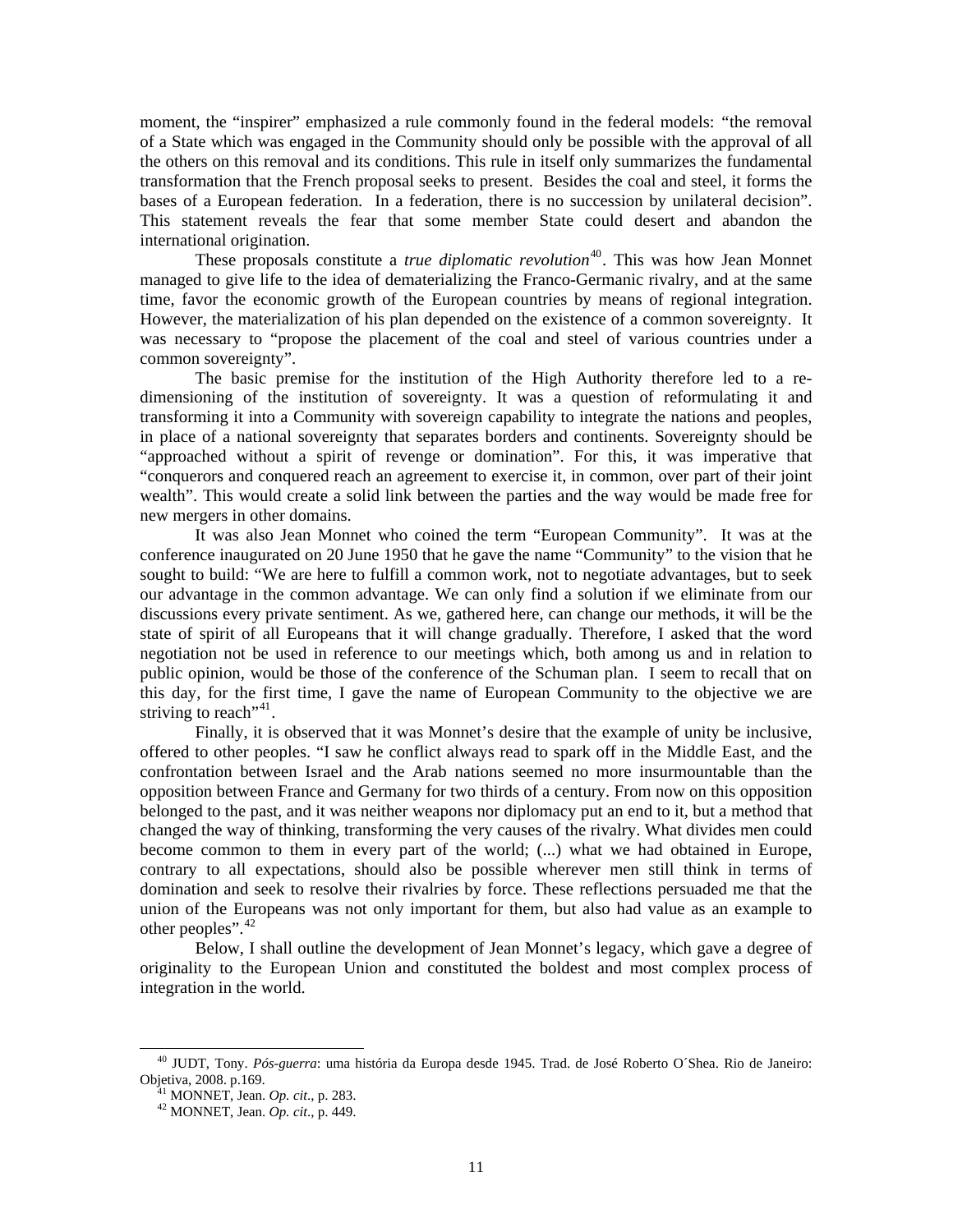moment, the "inspirer" emphasized a rule commonly found in the federal models: *"*the removal of a State which was engaged in the Community should only be possible with the approval of all the others on this removal and its conditions. This rule in itself only summarizes the fundamental transformation that the French proposal seeks to present. Besides the coal and steel, it forms the bases of a European federation. In a federation, there is no succession by unilateral decision". This statement reveals the fear that some member State could desert and abandon the international origination.

These proposals constitute a *true diplomatic revolution*<sup>[40](#page-10-0)</sup>. This was how Jean Monnet managed to give life to the idea of dematerializing the Franco-Germanic rivalry, and at the same time, favor the economic growth of the European countries by means of regional integration. However, the materialization of his plan depended on the existence of a common sovereignty. It was necessary to "propose the placement of the coal and steel of various countries under a common sovereignty".

The basic premise for the institution of the High Authority therefore led to a redimensioning of the institution of sovereignty. It was a question of reformulating it and transforming it into a Community with sovereign capability to integrate the nations and peoples, in place of a national sovereignty that separates borders and continents. Sovereignty should be "approached without a spirit of revenge or domination". For this, it was imperative that "conquerors and conquered reach an agreement to exercise it, in common, over part of their joint wealth". This would create a solid link between the parties and the way would be made free for new mergers in other domains.

It was also Jean Monnet who coined the term "European Community". It was at the conference inaugurated on 20 June 1950 that he gave the name "Community" to the vision that he sought to build: "We are here to fulfill a common work, not to negotiate advantages, but to seek our advantage in the common advantage. We can only find a solution if we eliminate from our discussions every private sentiment. As we, gathered here, can change our methods, it will be the state of spirit of all Europeans that it will change gradually. Therefore, I asked that the word negotiation not be used in reference to our meetings which, both among us and in relation to public opinion, would be those of the conference of the Schuman plan. I seem to recall that on this day, for the first time, I gave the name of European Community to the objective we are striving to reach<sup>"[41](#page-10-1)</sup>.

Finally, it is observed that it was Monnet's desire that the example of unity be inclusive, offered to other peoples. "I saw he conflict always read to spark off in the Middle East, and the confrontation between Israel and the Arab nations seemed no more insurmountable than the opposition between France and Germany for two thirds of a century. From now on this opposition belonged to the past, and it was neither weapons nor diplomacy put an end to it, but a method that changed the way of thinking, transforming the very causes of the rivalry. What divides men could become common to them in every part of the world; (...) what we had obtained in Europe, contrary to all expectations, should also be possible wherever men still think in terms of domination and seek to resolve their rivalries by force. These reflections persuaded me that the union of the Europeans was not only important for them, but also had value as an example to other peoples".<sup>[42](#page-10-2)</sup>

Below, I shall outline the development of Jean Monnet's legacy, which gave a degree of originality to the European Union and constituted the boldest and most complex process of integration in the world.

 $\overline{\phantom{a}}$ 

<span id="page-10-2"></span><span id="page-10-1"></span><span id="page-10-0"></span>40 JUDT, Tony. *Pós-guerra*: uma história da Europa desde 1945. Trad. de José Roberto O´Shea. Rio de Janeiro: Objetiva, 2008. p.169.

41 MONNET, Jean. *Op. cit*., p. 283.

42 MONNET, Jean. *Op. cit*., p. 449.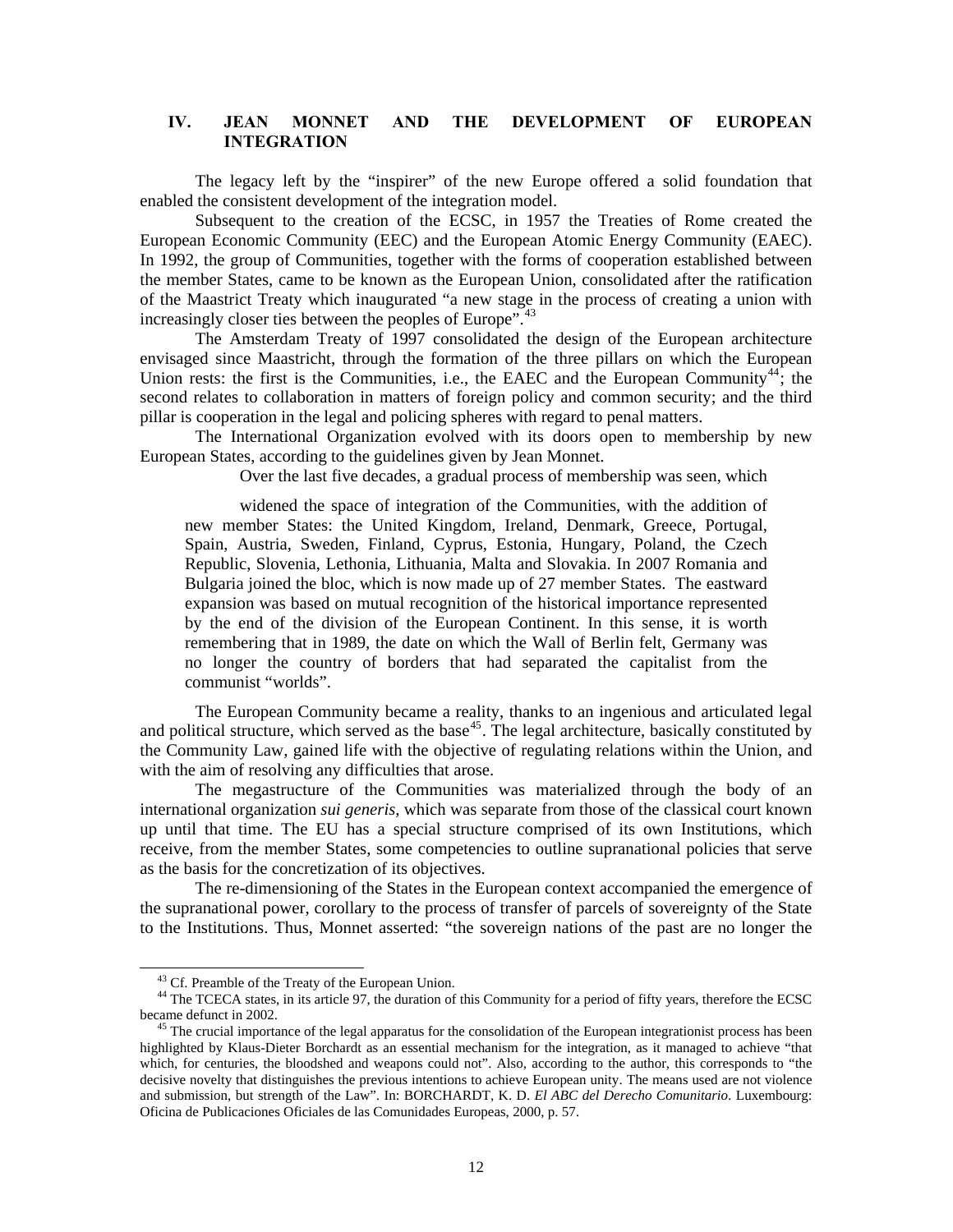#### **IV. JEAN MONNET AND THE DEVELOPMENT OF EUROPEAN INTEGRATION**

The legacy left by the "inspirer" of the new Europe offered a solid foundation that enabled the consistent development of the integration model.

Subsequent to the creation of the ECSC, in 1957 the Treaties of Rome created the European Economic Community (EEC) and the European Atomic Energy Community (EAEC). In 1992, the group of Communities, together with the forms of cooperation established between the member States, came to be known as the European Union, consolidated after the ratification of the Maastrict Treaty which inaugurated "a new stage in the process of creating a union with increasingly closer ties between the peoples of Europe".<sup>[43](#page-11-0)</sup>

The Amsterdam Treaty of 1997 consolidated the design of the European architecture envisaged since Maastricht, through the formation of the three pillars on which the European Union rests: the first is the Communities, i.e., the EAEC and the European Community<sup>[44](#page-11-1)</sup>; the second relates to collaboration in matters of foreign policy and common security; and the third pillar is cooperation in the legal and policing spheres with regard to penal matters.

The International Organization evolved with its doors open to membership by new European States, according to the guidelines given by Jean Monnet.

Over the last five decades, a gradual process of membership was seen, which

widened the space of integration of the Communities, with the addition of new member States: the United Kingdom, Ireland, Denmark, Greece, Portugal, Spain, Austria, Sweden, Finland, Cyprus, Estonia, Hungary, Poland, the Czech Republic, Slovenia, Lethonia, Lithuania, Malta and Slovakia. In 2007 Romania and Bulgaria joined the bloc, which is now made up of 27 member States. The eastward expansion was based on mutual recognition of the historical importance represented by the end of the division of the European Continent. In this sense, it is worth remembering that in 1989, the date on which the Wall of Berlin felt, Germany was no longer the country of borders that had separated the capitalist from the communist "worlds".

The European Community became a reality, thanks to an ingenious and articulated legal and political structure, which served as the base<sup>[45](#page-11-2)</sup>. The legal architecture, basically constituted by the Community Law, gained life with the objective of regulating relations within the Union, and with the aim of resolving any difficulties that arose.

The megastructure of the Communities was materialized through the body of an international organization *sui generis*, which was separate from those of the classical court known up until that time. The EU has a special structure comprised of its own Institutions, which receive, from the member States, some competencies to outline supranational policies that serve as the basis for the concretization of its objectives.

The re-dimensioning of the States in the European context accompanied the emergence of the supranational power, corollary to the process of transfer of parcels of sovereignty of the State to the Institutions. Thus, Monnet asserted: "the sovereign nations of the past are no longer the

 $\overline{\phantom{a}}$ 

<sup>&</sup>lt;sup>43</sup> Cf. Preamble of the Treaty of the European Union.

<span id="page-11-1"></span><span id="page-11-0"></span><sup>&</sup>lt;sup>44</sup> The TCECA states, in its article 97, the duration of this Community for a period of fifty years, therefore the ECSC became defunct in 2002.

<span id="page-11-2"></span><sup>&</sup>lt;sup>45</sup> The crucial importance of the legal apparatus for the consolidation of the European integrationist process has been highlighted by Klaus-Dieter Borchardt as an essential mechanism for the integration, as it managed to achieve "that which, for centuries, the bloodshed and weapons could not". Also, according to the author, this corresponds to "the decisive novelty that distinguishes the previous intentions to achieve European unity. The means used are not violence and submission, but strength of the Law". In: BORCHARDT, K. D. *El ABC del Derecho Comunitario*. Luxembourg: Oficina de Publicaciones Oficiales de las Comunidades Europeas, 2000, p. 57.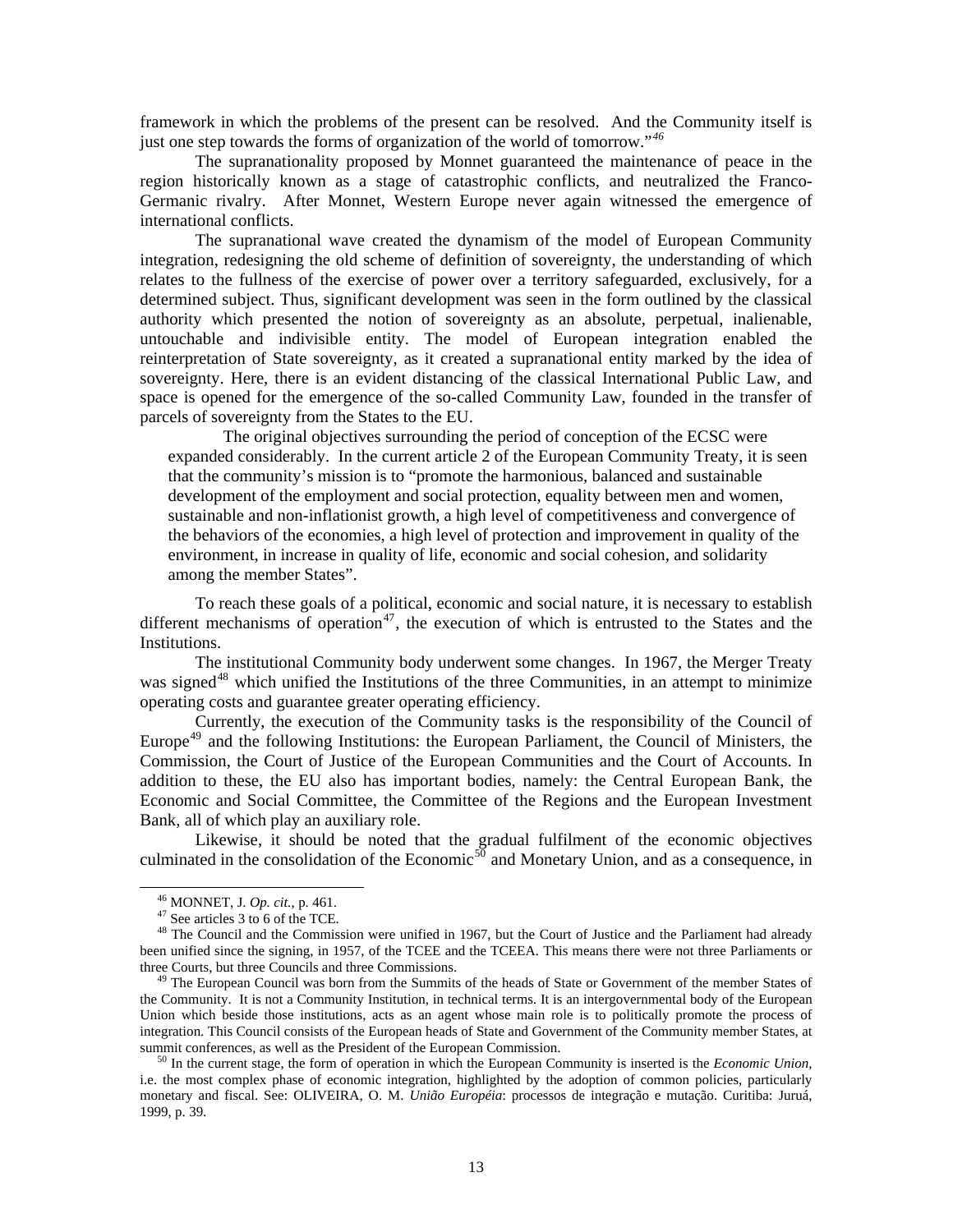framework in which the problems of the present can be resolved. And the Community itself is just one step towards the forms of organization of the world of tomorrow."*[46](#page-12-0)*

The supranationality proposed by Monnet guaranteed the maintenance of peace in the region historically known as a stage of catastrophic conflicts, and neutralized the Franco-Germanic rivalry. After Monnet, Western Europe never again witnessed the emergence of international conflicts.

The supranational wave created the dynamism of the model of European Community integration, redesigning the old scheme of definition of sovereignty, the understanding of which relates to the fullness of the exercise of power over a territory safeguarded, exclusively, for a determined subject. Thus, significant development was seen in the form outlined by the classical authority which presented the notion of sovereignty as an absolute, perpetual, inalienable, untouchable and indivisible entity. The model of European integration enabled the reinterpretation of State sovereignty, as it created a supranational entity marked by the idea of sovereignty. Here, there is an evident distancing of the classical International Public Law, and space is opened for the emergence of the so-called Community Law, founded in the transfer of parcels of sovereignty from the States to the EU.

The original objectives surrounding the period of conception of the ECSC were expanded considerably. In the current article 2 of the European Community Treaty, it is seen that the community's mission is to "promote the harmonious, balanced and sustainable development of the employment and social protection, equality between men and women, sustainable and non-inflationist growth, a high level of competitiveness and convergence of the behaviors of the economies, a high level of protection and improvement in quality of the environment, in increase in quality of life, economic and social cohesion, and solidarity among the member States".

To reach these goals of a political, economic and social nature, it is necessary to establish different mechanisms of operation<sup>[47](#page-12-1)</sup>, the execution of which is entrusted to the States and the Institutions.

The institutional Community body underwent some changes. In 1967, the Merger Treaty was signed<sup>[48](#page-12-2)</sup> which unified the Institutions of the three Communities, in an attempt to minimize operating costs and guarantee greater operating efficiency.

Currently, the execution of the Community tasks is the responsibility of the Council of Europe<sup>[49](#page-12-3)</sup> and the following Institutions: the European Parliament, the Council of Ministers, the Commission, the Court of Justice of the European Communities and the Court of Accounts. In addition to these, the EU also has important bodies, namely: the Central European Bank, the Economic and Social Committee, the Committee of the Regions and the European Investment Bank, all of which play an auxiliary role.

Likewise, it should be noted that the gradual fulfilment of the economic objectives culminated in the consolidation of the Economic<sup>[50](#page-12-4)</sup> and Monetary Union, and as a consequence, in

46 MONNET, J. *Op. cit.,* p. 461.

47 See articles 3 to 6 of the TCE.

<span id="page-12-2"></span><span id="page-12-1"></span><span id="page-12-0"></span><sup>&</sup>lt;sup>48</sup> The Council and the Commission were unified in 1967, but the Court of Justice and the Parliament had already been unified since the signing, in 1957, of the TCEE and the TCEEA. This means there were not three Parliaments or three Courts, but three Councils and three Commissions.

<span id="page-12-3"></span><sup>&</sup>lt;sup>49</sup> The European Council was born from the Summits of the heads of State or Government of the member States of the Community. It is not a Community Institution, in technical terms. It is an intergovernmental body of the European Union which beside those institutions, acts as an agent whose main role is to politically promote the process of integration. This Council consists of the European heads of State and Government of the Community member States, at summit conferences, as well as the President of the European Commission.

<span id="page-12-4"></span>50 In the current stage, the form of operation in which the European Community is inserted is the *Economic Union,*  i.e. the most complex phase of economic integration, highlighted by the adoption of common policies, particularly monetary and fiscal. See: OLIVEIRA, O. M. *União Européia*: processos de integração e mutação. Curitiba: Juruá, 1999, p. 39.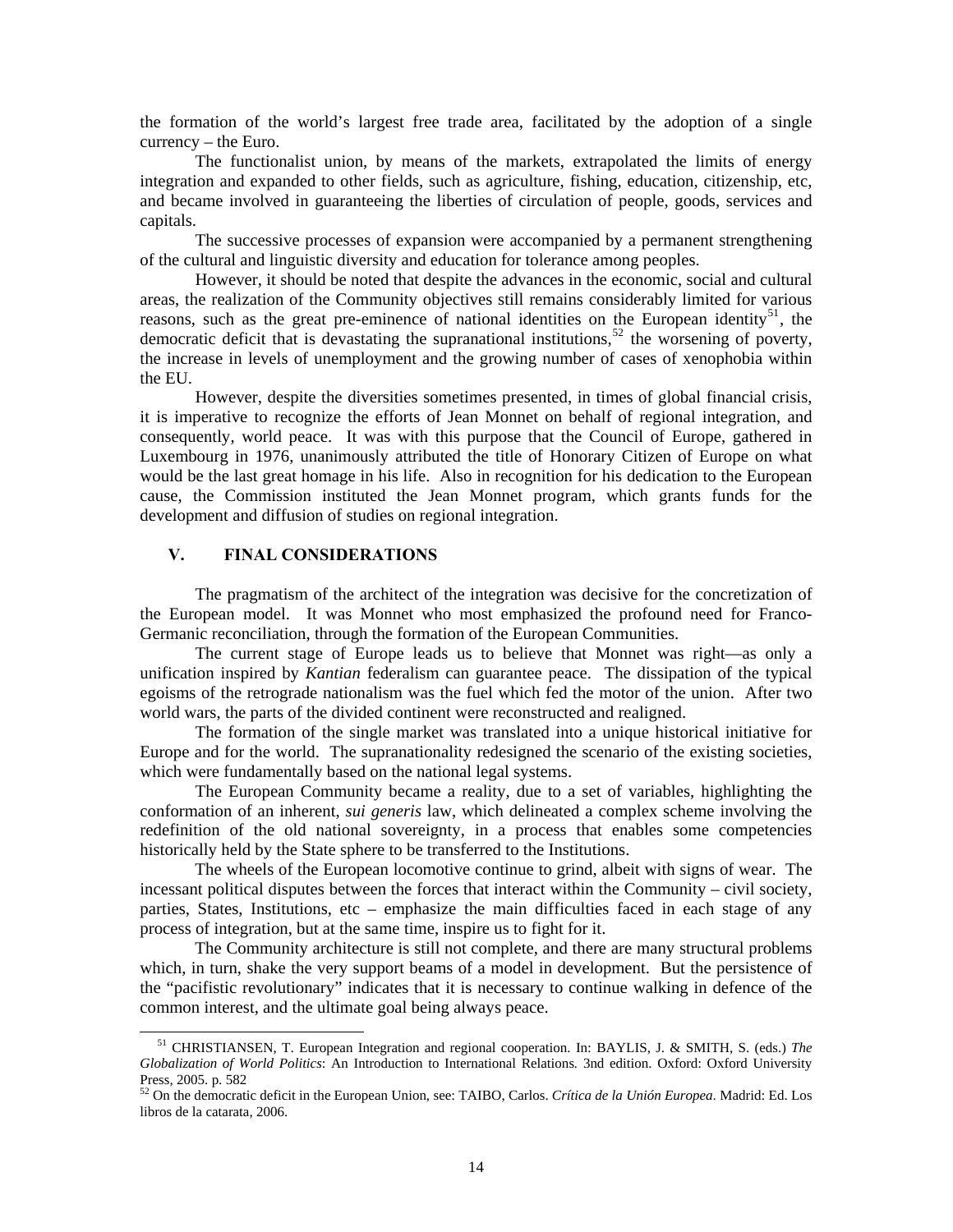the formation of the world's largest free trade area, facilitated by the adoption of a single currency – the Euro.

The functionalist union, by means of the markets, extrapolated the limits of energy integration and expanded to other fields, such as agriculture, fishing, education, citizenship, etc, and became involved in guaranteeing the liberties of circulation of people, goods, services and capitals.

The successive processes of expansion were accompanied by a permanent strengthening of the cultural and linguistic diversity and education for tolerance among peoples.

However, it should be noted that despite the advances in the economic, social and cultural areas, the realization of the Community objectives still remains considerably limited for various reasons, such as the great pre-eminence of national identities on the European identity<sup>[51](#page-13-0)</sup>, the democratic deficit that is devastating the supranational institutions,<sup>[52](#page-13-1)</sup> the worsening of poverty, the increase in levels of unemployment and the growing number of cases of xenophobia within the EU.

However, despite the diversities sometimes presented, in times of global financial crisis, it is imperative to recognize the efforts of Jean Monnet on behalf of regional integration, and consequently, world peace. It was with this purpose that the Council of Europe, gathered in Luxembourg in 1976, unanimously attributed the title of Honorary Citizen of Europe on what would be the last great homage in his life. Also in recognition for his dedication to the European cause, the Commission instituted the Jean Monnet program, which grants funds for the development and diffusion of studies on regional integration.

#### **V. FINAL CONSIDERATIONS**

 $\overline{\phantom{a}}$ 

The pragmatism of the architect of the integration was decisive for the concretization of the European model. It was Monnet who most emphasized the profound need for Franco-Germanic reconciliation, through the formation of the European Communities.

The current stage of Europe leads us to believe that Monnet was right—as only a unification inspired by *Kantian* federalism can guarantee peace. The dissipation of the typical egoisms of the retrograde nationalism was the fuel which fed the motor of the union. After two world wars, the parts of the divided continent were reconstructed and realigned.

The formation of the single market was translated into a unique historical initiative for Europe and for the world. The supranationality redesigned the scenario of the existing societies, which were fundamentally based on the national legal systems.

The European Community became a reality, due to a set of variables, highlighting the conformation of an inherent, *sui generis* law, which delineated a complex scheme involving the redefinition of the old national sovereignty, in a process that enables some competencies historically held by the State sphere to be transferred to the Institutions.

The wheels of the European locomotive continue to grind, albeit with signs of wear. The incessant political disputes between the forces that interact within the Community – civil society, parties, States, Institutions, etc – emphasize the main difficulties faced in each stage of any process of integration, but at the same time, inspire us to fight for it.

The Community architecture is still not complete, and there are many structural problems which, in turn, shake the very support beams of a model in development. But the persistence of the "pacifistic revolutionary" indicates that it is necessary to continue walking in defence of the common interest, and the ultimate goal being always peace.

<span id="page-13-0"></span>51 CHRISTIANSEN, T. European Integration and regional cooperation. In: BAYLIS, J. & SMITH, S. (eds.) *The Globalization of World Politics*: An Introduction to International Relations*.* 3nd edition. Oxford: Oxford University Press, 2005. p. 582

<span id="page-13-1"></span><sup>52</sup> On the democratic deficit in the European Union, see: TAIBO, Carlos. *Crítica de la Unión Europea*. Madrid: Ed. Los libros de la catarata, 2006.